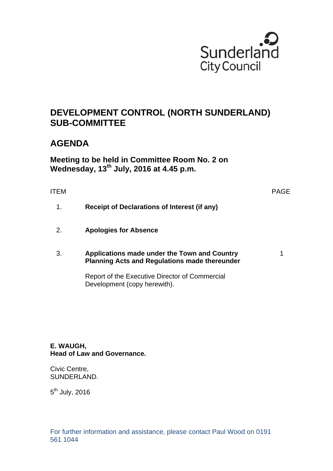

# **DEVELOPMENT CONTROL (NORTH SUNDERLAND) SUB-COMMITTEE**

# **AGENDA**

**Meeting to be held in Committee Room No. 2 on Wednesday, 13th July, 2016 at 4.45 p.m.** 

# ITEM PAGE

1

- 1. **Receipt of Declarations of Interest (if any)**
- 2. **Apologies for Absence**

### 3. **Applications made under the Town and Country Planning Acts and Regulations made thereunder**

Report of the Executive Director of Commercial

Development (copy herewith).

**E. WAUGH, Head of Law and Governance.** 

Civic Centre, SUNDERLAND.

 $5<sup>th</sup>$  July, 2016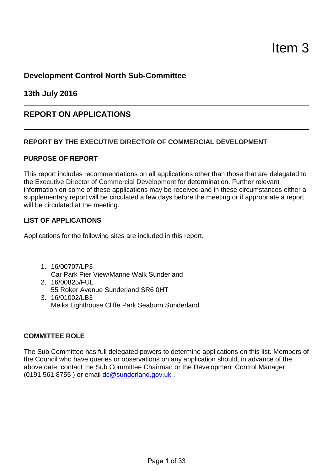# **Development Control North Sub-Committee**

**13th July 2016**

# **REPORT ON APPLICATIONS**

# **REPORT BY THE EXECUTIVE DIRECTOR OF COMMERCIAL DEVELOPMENT**

# **PURPOSE OF REPORT**

This report includes recommendations on all applications other than those that are delegated to the Executive Director of Commercial Development for determination. Further relevant information on some of these applications may be received and in these circumstances either a supplementary report will be circulated a few days before the meeting or if appropriate a report will be circulated at the meeting.

# **LIST OF APPLICATIONS**

Applications for the following sites are included in this report.

1. 16/00707/LP3

Car Park Pier View/Marine Walk Sunderland

- 2. 16/00825/FUL 55 Roker Avenue Sunderland SR6 0HT
- 3. 16/01002/LB3 Meiks Lighthouse Cliffe Park Seaburn Sunderland

# **COMMITTEE ROLE**

The Sub Committee has full delegated powers to determine applications on this list. Members of the Council who have queries or observations on any application should, in advance of the above date, contact the Sub Committee Chairman or the Development Control Manager (0191 561 8755) or email dc@sunderland.gov.uk.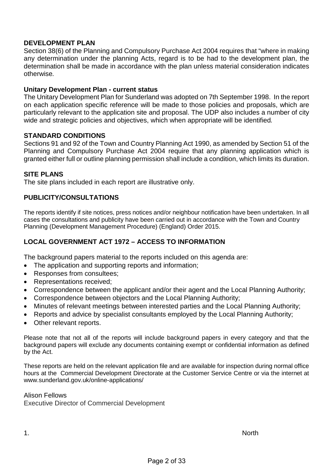# **DEVELOPMENT PLAN**

Section 38(6) of the Planning and Compulsory Purchase Act 2004 requires that "where in making any determination under the planning Acts, regard is to be had to the development plan, the determination shall be made in accordance with the plan unless material consideration indicates otherwise*.*

## **Unitary Development Plan - current status**

The Unitary Development Plan for Sunderland was adopted on 7th September 1998. In the report on each application specific reference will be made to those policies and proposals, which are particularly relevant to the application site and proposal. The UDP also includes a number of city wide and strategic policies and objectives, which when appropriate will be identified*.*

## **STANDARD CONDITIONS**

Sections 91 and 92 of the Town and Country Planning Act 1990, as amended by Section 51 of the Planning and Compulsory Purchase Act 2004 require that any planning application which is granted either full or outline planning permission shall include a condition, which limits its duration.

# **SITE PLANS**

The site plans included in each report are illustrative only.

# **PUBLICITY/CONSULTATIONS**

The reports identify if site notices, press notices and/or neighbour notification have been undertaken. In all cases the consultations and publicity have been carried out in accordance with the Town and Country Planning (Development Management Procedure) (England) Order 2015.

# **LOCAL GOVERNMENT ACT 1972 – ACCESS TO INFORMATION**

The background papers material to the reports included on this agenda are:

- The application and supporting reports and information;
- Responses from consultees;
- Representations received;
- Correspondence between the applicant and/or their agent and the Local Planning Authority;
- Correspondence between objectors and the Local Planning Authority;
- Minutes of relevant meetings between interested parties and the Local Planning Authority;
- Reports and advice by specialist consultants employed by the Local Planning Authority;
- Other relevant reports.

Please note that not all of the reports will include background papers in every category and that the background papers will exclude any documents containing exempt or confidential information as defined by the Act.

These reports are held on the relevant application file and are available for inspection during normal office hours at the Commercial Development Directorate at the Customer Service Centre or via the internet at www.sunderland.gov.uk/online-applications/

#### Alison Fellows

Executive Director of Commercial Development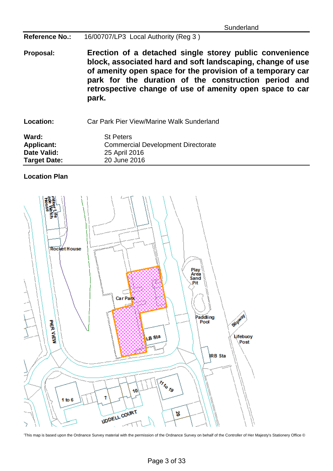**Reference No.:** 16/00707/LP3 Local Authority (Reg 3 )

**Proposal: Erection of a detached single storey public convenience block, associated hard and soft landscaping, change of use of amenity open space for the provision of a temporary car park for the duration of the construction period and retrospective change of use of amenity open space to car park.**

**Location:** Car Park Pier View/Marine Walk Sunderland

**Ward:** St Peters<br> **Applicant:** Commerc Applicant: Commercial Development Directorate<br>
Date Valid: 25 April 2016 **Date Valid:** 25 April 2016 **Target Date:** 

# **Location Plan**



<sup>&#</sup>x27;This map is based upon the Ordnance Survey material with the permission of the Ordnance Survey on behalf of the Controller of Her Majesty's Stationery Office ©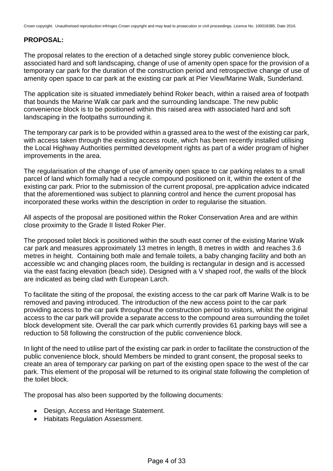# **PROPOSAL:**

The proposal relates to the erection of a detached single storey public convenience block, associated hard and soft landscaping, change of use of amenity open space for the provision of a temporary car park for the duration of the construction period and retrospective change of use of amenity open space to car park at the existing car park at Pier View/Marine Walk, Sunderland.

The application site is situated immediately behind Roker beach, within a raised area of footpath that bounds the Marine Walk car park and the surrounding landscape. The new public convenience block is to be positioned within this raised area with associated hard and soft landscaping in the footpaths surrounding it.

The temporary car park is to be provided within a grassed area to the west of the existing car park, with access taken through the existing access route, which has been recently installed utilising the Local Highway Authorities permitted development rights as part of a wider program of higher improvements in the area.

The regularisation of the change of use of amenity open space to car parking relates to a small parcel of land which formally had a recycle compound positioned on it, within the extent of the existing car park. Prior to the submission of the current proposal, pre-application advice indicated that the aforementioned was subject to planning control and hence the current proposal has incorporated these works within the description in order to regularise the situation.

All aspects of the proposal are positioned within the Roker Conservation Area and are within close proximity to the Grade II listed Roker Pier.

The proposed toilet block is positioned within the south east corner of the existing Marine Walk car park and measures approximately 13 metres in length, 8 metres in width and reaches 3.6 metres in height. Containing both male and female toilets, a baby changing facility and both an accessible wc and changing places room, the building is rectangular in design and is accessed via the east facing elevation (beach side). Designed with a V shaped roof, the walls of the block are indicated as being clad with European Larch.

To facilitate the siting of the proposal, the existing access to the car park off Marine Walk is to be removed and paving introduced. The introduction of the new access point to the car park providing access to the car park throughout the construction period to visitors, whilst the original access to the car park will provide a separate access to the compound area surrounding the toilet block development site. Overall the car park which currently provides 61 parking bays will see a reduction to 58 following the construction of the public convenience block.

In light of the need to utilise part of the existing car park in order to facilitate the construction of the public convenience block, should Members be minded to grant consent, the proposal seeks to create an area of temporary car parking on part of the existing open space to the west of the car park. This element of the proposal will be returned to its original state following the completion of the toilet block.

The proposal has also been supported by the following documents:

- Design, Access and Heritage Statement.
- Habitats Regulation Assessment.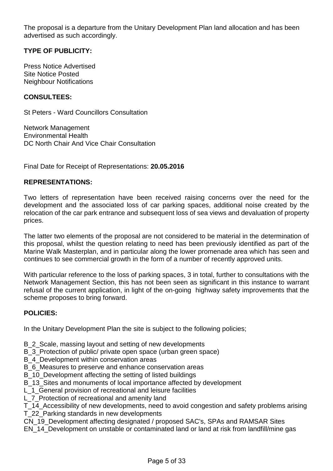The proposal is a departure from the Unitary Development Plan land allocation and has been advertised as such accordingly.

# **TYPE OF PUBLICITY:**

Press Notice Advertised Site Notice Posted Neighbour Notifications

### **CONSULTEES:**

St Peters - Ward Councillors Consultation

Network Management Environmental Health DC North Chair And Vice Chair Consultation

Final Date for Receipt of Representations: **20.05.2016**

### **REPRESENTATIONS:**

Two letters of representation have been received raising concerns over the need for the development and the associated loss of car parking spaces, additional noise created by the relocation of the car park entrance and subsequent loss of sea views and devaluation of property prices.

The latter two elements of the proposal are not considered to be material in the determination of this proposal, whilst the question relating to need has been previously identified as part of the Marine Walk Masterplan, and in particular along the lower promenade area which has seen and continues to see commercial growth in the form of a number of recently approved units.

With particular reference to the loss of parking spaces, 3 in total, further to consultations with the Network Management Section, this has not been seen as significant in this instance to warrant refusal of the current application, in light of the on-going highway safety improvements that the scheme proposes to bring forward.

## **POLICIES:**

In the Unitary Development Plan the site is subject to the following policies;

- B\_2\_Scale, massing layout and setting of new developments
- B\_3\_Protection of public/ private open space (urban green space)
- B 4 Development within conservation areas
- B 6 Measures to preserve and enhance conservation areas
- B\_10\_Development affecting the setting of listed buildings
- B 13 Sites and monuments of local importance affected by development
- L 1 General provision of recreational and leisure facilities
- L 7 Protection of recreational and amenity land

T\_14\_Accessibility of new developments, need to avoid congestion and safety problems arising T\_22\_Parking standards in new developments

- CN\_19\_Development affecting designated / proposed SAC's, SPAs and RAMSAR Sites
- EN\_14\_Development on unstable or contaminated land or land at risk from landfill/mine gas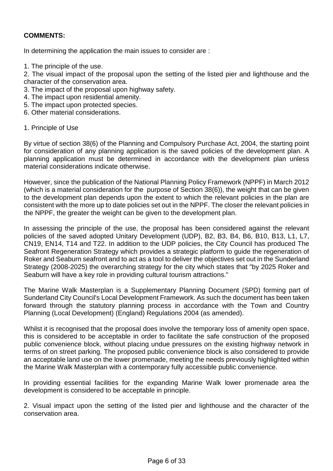# **COMMENTS:**

In determining the application the main issues to consider are :

1. The principle of the use.

2. The visual impact of the proposal upon the setting of the listed pier and lighthouse and the character of the conservation area.

- 3. The impact of the proposal upon highway safety.
- 4. The impact upon residential amenity.
- 5. The impact upon protected species.
- 6. Other material considerations.
- 1. Principle of Use

By virtue of section 38(6) of the Planning and Compulsory Purchase Act, 2004, the starting point for consideration of any planning application is the saved policies of the development plan. A planning application must be determined in accordance with the development plan unless material considerations indicate otherwise.

However, since the publication of the National Planning Policy Framework (NPPF) in March 2012 (which is a material consideration for the purpose of Section 38(6)), the weight that can be given to the development plan depends upon the extent to which the relevant policies in the plan are consistent with the more up to date policies set out in the NPPF. The closer the relevant policies in the NPPF, the greater the weight can be given to the development plan.

In assessing the principle of the use, the proposal has been considered against the relevant policies of the saved adopted Unitary Development (UDP), B2, B3, B4, B6, B10, B13, L1, L7, CN19, EN14, T14 and T22. In addition to the UDP policies, the City Council has produced The Seafront Regeneration Strategy which provides a strategic platform to guide the regeneration of Roker and Seaburn seafront and to act as a tool to deliver the objectives set out in the Sunderland Strategy (2008-2025) the overarching strategy for the city which states that "by 2025 Roker and Seaburn will have a key role in providing cultural tourism attractions."

The Marine Walk Masterplan is a Supplementary Planning Document (SPD) forming part of Sunderland City Council's Local Development Framework. As such the document has been taken forward through the statutory planning process in accordance with the Town and Country Planning (Local Development) (England) Regulations 2004 (as amended).

Whilst it is recognised that the proposal does involve the temporary loss of amenity open space, this is considered to be acceptable in order to facilitate the safe construction of the proposed public convenience block, without placing undue pressures on the existing highway network in terms of on street parking. The proposed public convenience block is also considered to provide an acceptable land use on the lower promenade, meeting the needs previously highlighted within the Marine Walk Masterplan with a contemporary fully accessible public convenience.

In providing essential facilities for the expanding Marine Walk lower promenade area the development is considered to be acceptable in principle.

2. Visual impact upon the setting of the listed pier and lighthouse and the character of the conservation area.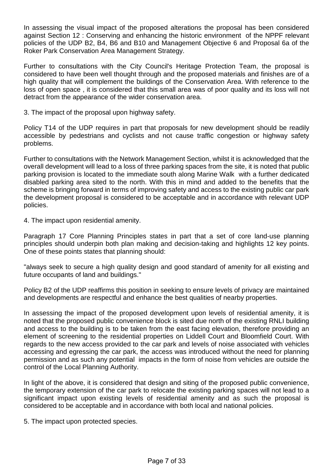In assessing the visual impact of the proposed alterations the proposal has been considered against Section 12 : Conserving and enhancing the historic environment of the NPPF relevant policies of the UDP B2, B4, B6 and B10 and Management Objective 6 and Proposal 6a of the Roker Park Conservation Area Management Strategy.

Further to consultations with the City Council's Heritage Protection Team, the proposal is considered to have been well thought through and the proposed materials and finishes are of a high quality that will complement the buildings of the Conservation Area. With reference to the loss of open space , it is considered that this small area was of poor quality and its loss will not detract from the appearance of the wider conservation area.

3. The impact of the proposal upon highway safety.

Policy T14 of the UDP requires in part that proposals for new development should be readily accessible by pedestrians and cyclists and not cause traffic congestion or highway safety problems.

Further to consultations with the Network Management Section, whilst it is acknowledged that the overall development will lead to a loss of three parking spaces from the site, it is noted that public parking provision is located to the immediate south along Marine Walk with a further dedicated disabled parking area sited to the north. With this in mind and added to the benefits that the scheme is bringing forward in terms of improving safety and access to the existing public car park the development proposal is considered to be acceptable and in accordance with relevant UDP policies.

4. The impact upon residential amenity.

Paragraph 17 Core Planning Principles states in part that a set of core land-use planning principles should underpin both plan making and decision-taking and highlights 12 key points. One of these points states that planning should:

"always seek to secure a high quality design and good standard of amenity for all existing and future occupants of land and buildings."

Policy B2 of the UDP reaffirms this position in seeking to ensure levels of privacy are maintained and developments are respectful and enhance the best qualities of nearby properties.

In assessing the impact of the proposed development upon levels of residential amenity, it is noted that the proposed public convenience block is sited due north of the existing RNLI building and access to the building is to be taken from the east facing elevation, therefore providing an element of screening to the residential properties on Liddell Court and Bloomfield Court. With regards to the new access provided to the car park and levels of noise associated with vehicles accessing and egressing the car park, the access was introduced without the need for planning permission and as such any potential impacts in the form of noise from vehicles are outside the control of the Local Planning Authority.

In light of the above, it is considered that design and siting of the proposed public convenience, the temporary extension of the car park to relocate the existing parking spaces will not lead to a significant impact upon existing levels of residential amenity and as such the proposal is considered to be acceptable and in accordance with both local and national policies.

5. The impact upon protected species.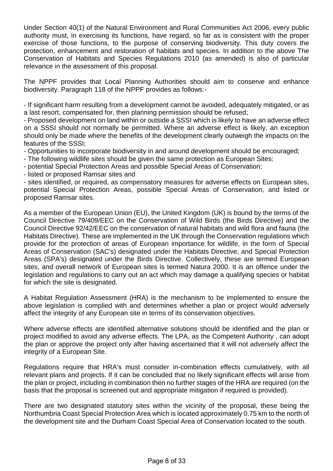Under Section 40(1) of the Natural Environment and Rural Communities Act 2006, every public authority must, in exercising its functions, have regard, so far as is consistent with the proper exercise of those functions, to the purpose of conserving biodiversity. This duty covers the protection, enhancement and restoration of habitats and species. In addition to the above The Conservation of Habitats and Species Regulations 2010 (as amended) is also of particular relevance in the assessment of this proposal.

The NPPF provides that Local Planning Authorities should aim to conserve and enhance biodiversity. Paragraph 118 of the NPPF provides as follows:-

- If significant harm resulting from a development cannot be avoided, adequately mitigated, or as a last resort, compensated for, then planning permission should be refused;

- Proposed development on land within or outside a SSSI which is likely to have an adverse effect on a SSSI should not normally be permitted. Where an adverse effect is likely, an exception should only be made where the benefits of the development clearly outweigh the impacts on the features of the SSSI;

- Opportunities to incorporate biodiversity in and around development should be encouraged;

- The following wildlife sites should be given the same protection as European Sites:

- potential Special Protection Areas and possible Special Areas of Conservation;

- listed or proposed Ramsar sites and

- sites identified, or required, as compensatory measures for adverse effects on European sites, potential Special Protection Areas, possible Special Areas of Conservation, and listed or proposed Ramsar sites.

As a member of the European Union (EU), the United Kingdom (UK) is bound by the terms of the Council Directive 79/409/EEC on the Conservation of Wild Birds (the Birds Directive) and the Council Directive 92/42/EEC on the conservation of natural habitats and wild flora and fauna (the Habitats Directive). These are implemented in the UK through the Conservation regulations which provide for the protection of areas of European importance for wildlife, in the form of Special Areas of Conservation (SAC's) designated under the Habitats Directive, and Special Protection Areas (SPA's) designated under the Birds Directive. Collectively, these are termed European sites, and overall network of European sites is termed Natura 2000. It is an offence under the legislation and regulations to carry out an act which may damage a qualifying species or habitat for which the site is designated.

A Habitat Regulation Assessment (HRA) is the mechanism to be implemented to ensure the above legislation is complied with and determines whether a plan or project would adversely affect the integrity of any European site in terms of its conservation objectives.

Where adverse effects are identified alternative solutions should be identified and the plan or project modified to avoid any adverse effects. The LPA, as the Competent Authority , can adopt the plan or approve the project only after having ascertained that it will not adversely affect the integrity of a European Site.

Regulations require that HRA's must consider in-combination effects cumulatively, with all relevant plans and projects. If it can be concluded that no likely significant effects will arise from the plan or project, including in combination then no further stages of the HRA are required (on the basis that the proposal is screened out and appropriate mitigation if required is provided).

There are two designated statutory sites within the vicinity of the proposal, these being the Northumbria Coast Special Protection Area which is located approximately 0.75 km to the north of the development site and the Durham Coast Special Area of Conservation located to the south.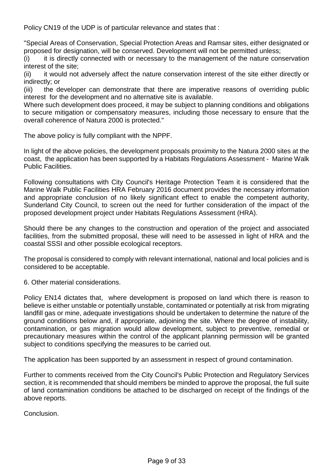Policy CN19 of the UDP is of particular relevance and states that :

"Special Areas of Conservation, Special Protection Areas and Ramsar sites, either designated or proposed for designation, will be conserved. Development will not be permitted unless;

(i) it is directly connected with or necessary to the management of the nature conservation interest of the site;

(ii) it would not adversely affect the nature conservation interest of the site either directly or indirectly; or

(iii) the developer can demonstrate that there are imperative reasons of overriding public interest for the development and no alternative site is available.

Where such development does proceed, it may be subject to planning conditions and obligations to secure mitigation or compensatory measures, including those necessary to ensure that the overall coherence of Natura 2000 is protected."

The above policy is fully compliant with the NPPF.

In light of the above policies, the development proposals proximity to the Natura 2000 sites at the coast, the application has been supported by a Habitats Regulations Assessment - Marine Walk Public Facilities.

Following consultations with City Council's Heritage Protection Team it is considered that the Marine Walk Public Facilities HRA February 2016 document provides the necessary information and appropriate conclusion of no likely significant effect to enable the competent authority, Sunderland City Council, to screen out the need for further consideration of the impact of the proposed development project under Habitats Regulations Assessment (HRA).

Should there be any changes to the construction and operation of the project and associated facilities, from the submitted proposal, these will need to be assessed in light of HRA and the coastal SSSI and other possible ecological receptors.

The proposal is considered to comply with relevant international, national and local policies and is considered to be acceptable.

6. Other material considerations.

Policy EN14 dictates that, where development is proposed on land which there is reason to believe is either unstable or potentially unstable, contaminated or potentially at risk from migrating landfill gas or mine, adequate investigations should be undertaken to determine the nature of the ground conditions below and, if appropriate, adjoining the site. Where the degree of instability, contamination, or gas migration would allow development, subject to preventive, remedial or precautionary measures within the control of the applicant planning permission will be granted subject to conditions specifying the measures to be carried out.

The application has been supported by an assessment in respect of ground contamination.

Further to comments received from the City Council's Public Protection and Regulatory Services section, it is recommended that should members be minded to approve the proposal, the full suite of land contamination conditions be attached to be discharged on receipt of the findings of the above reports.

Conclusion.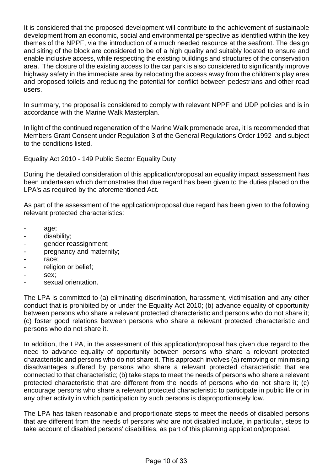It is considered that the proposed development will contribute to the achievement of sustainable development from an economic, social and environmental perspective as identified within the key themes of the NPPF, via the introduction of a much needed resource at the seafront. The design and siting of the block are considered to be of a high quality and suitably located to ensure and enable inclusive access, while respecting the existing buildings and structures of the conservation area. The closure of the existing access to the car park is also considered to significantly improve highway safety in the immediate area by relocating the access away from the children's play area and proposed toilets and reducing the potential for conflict between pedestrians and other road users.

In summary, the proposal is considered to comply with relevant NPPF and UDP policies and is in accordance with the Marine Walk Masterplan.

In light of the continued regeneration of the Marine Walk promenade area, it is recommended that Members Grant Consent under Regulation 3 of the General Regulations Order 1992 and subject to the conditions listed.

Equality Act 2010 - 149 Public Sector Equality Duty

During the detailed consideration of this application/proposal an equality impact assessment has been undertaken which demonstrates that due regard has been given to the duties placed on the LPA's as required by the aforementioned Act.

As part of the assessment of the application/proposal due regard has been given to the following relevant protected characteristics:

- age;
- disability;
- gender reassignment;
- pregnancy and maternity;
- race;
- religion or belief;
- sex;
- sexual orientation.

The LPA is committed to (a) eliminating discrimination, harassment, victimisation and any other conduct that is prohibited by or under the Equality Act 2010; (b) advance equality of opportunity between persons who share a relevant protected characteristic and persons who do not share it; (c) foster good relations between persons who share a relevant protected characteristic and persons who do not share it.

In addition, the LPA, in the assessment of this application/proposal has given due regard to the need to advance equality of opportunity between persons who share a relevant protected characteristic and persons who do not share it. This approach involves (a) removing or minimising disadvantages suffered by persons who share a relevant protected characteristic that are connected to that characteristic; (b) take steps to meet the needs of persons who share a relevant protected characteristic that are different from the needs of persons who do not share it; (c) encourage persons who share a relevant protected characteristic to participate in public life or in any other activity in which participation by such persons is disproportionately low.

The LPA has taken reasonable and proportionate steps to meet the needs of disabled persons that are different from the needs of persons who are not disabled include, in particular, steps to take account of disabled persons' disabilities, as part of this planning application/proposal.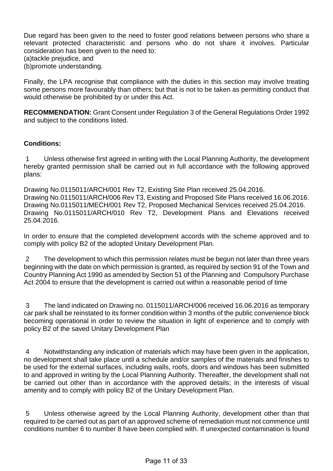Due regard has been given to the need to foster good relations between persons who share a relevant protected characteristic and persons who do not share it involves. Particular consideration has been given to the need to:

(a)tackle prejudice, and

(b)promote understanding.

Finally, the LPA recognise that compliance with the duties in this section may involve treating some persons more favourably than others; but that is not to be taken as permitting conduct that would otherwise be prohibited by or under this Act.

**RECOMMENDATION:** Grant Consent under Regulation 3 of the General Regulations Order 1992 and subject to the conditions listed.

## **Conditions:**

1 Unless otherwise first agreed in writing with the Local Planning Authority, the development hereby granted permission shall be carried out in full accordance with the following approved plans:

Drawing No.0115011/ARCH/001 Rev T2, Existing Site Plan received 25.04.2016. Drawing No.0115011/ARCH/006 Rev T3, Existing and Proposed Site Plans received 16.06.2016. Drawing No.0115011/MECH/001 Rev T2, Proposed Mechanical Services received 25.04.2016. Drawing No.0115011/ARCH/010 Rev T2, Development Plans and Elevations received 25.04.2016.

In order to ensure that the completed development accords with the scheme approved and to comply with policy B2 of the adopted Unitary Development Plan.

2 The development to which this permission relates must be begun not later than three years beginning with the date on which permission is granted, as required by section 91 of the Town and Country Planning Act 1990 as amended by Section 51 of the Planning and Compulsory Purchase Act 2004 to ensure that the development is carried out within a reasonable period of time

3 The land indicated on Drawing no. 0115011/ARCH/006 received 16.06.2016 as temporary car park shall be reinstated to its former condition within 3 months of the public convenience block becoming operational in order to review the situation in light of experience and to comply with policy B2 of the saved Unitary Development Plan

4 Notwithstanding any indication of materials which may have been given in the application, no development shall take place until a schedule and/or samples of the materials and finishes to be used for the external surfaces, including walls, roofs, doors and windows has been submitted to and approved in writing by the Local Planning Authority. Thereafter, the development shall not be carried out other than in accordance with the approved details; in the interests of visual amenity and to comply with policy B2 of the Unitary Development Plan.

5 Unless otherwise agreed by the Local Planning Authority, development other than that required to be carried out as part of an approved scheme of remediation must not commence until conditions number 6 to number 8 have been complied with. If unexpected contamination is found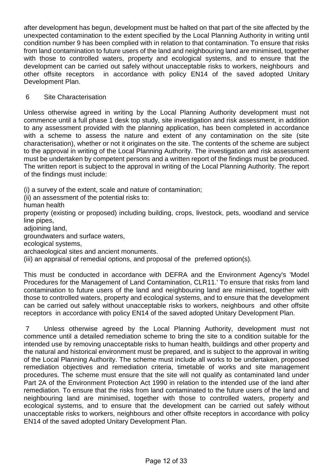after development has begun, development must be halted on that part of the site affected by the unexpected contamination to the extent specified by the Local Planning Authority in writing until condition number 9 has been complied with in relation to that contamination. To ensure that risks from land contamination to future users of the land and neighbouring land are minimised, together with those to controlled waters, property and ecological systems, and to ensure that the development can be carried out safely without unacceptable risks to workers, neighbours and other offsite receptors in accordance with policy EN14 of the saved adopted Unitary Development Plan.

# 6 Site Characterisation

Unless otherwise agreed in writing by the Local Planning Authority development must not commence until a full phase 1 desk top study, site investigation and risk assessment, in addition to any assessment provided with the planning application, has been completed in accordance with a scheme to assess the nature and extent of any contamination on the site (site characterisation), whether or not it originates on the site. The contents of the scheme are subject to the approval in writing of the Local Planning Authority. The investigation and risk assessment must be undertaken by competent persons and a written report of the findings must be produced. The written report is subject to the approval in writing of the Local Planning Authority. The report of the findings must include:

(i) a survey of the extent, scale and nature of contamination;

(ii) an assessment of the potential risks to:

human health

property (existing or proposed) including building, crops, livestock, pets, woodland and service line pipes,

adjoining land,

groundwaters and surface waters,

ecological systems,

archaeological sites and ancient monuments.

(iii) an appraisal of remedial options, and proposal of the preferred option(s).

This must be conducted in accordance with DEFRA and the Environment Agency's 'Model Procedures for the Management of Land Contamination, CLR11.' To ensure that risks from land contamination to future users of the land and neighbouring land are minimised, together with those to controlled waters, property and ecological systems, and to ensure that the development can be carried out safely without unacceptable risks to workers, neighbours and other offsite receptors in accordance with policy EN14 of the saved adopted Unitary Development Plan.

7 Unless otherwise agreed by the Local Planning Authority, development must not commence until a detailed remediation scheme to bring the site to a condition suitable for the intended use by removing unacceptable risks to human health, buildings and other property and the natural and historical environment must be prepared, and is subject to the approval in writing of the Local Planning Authority. The scheme must include all works to be undertaken, proposed remediation objectives and remediation criteria, timetable of works and site management procedures. The scheme must ensure that the site will not qualify as contaminated land under Part 2A of the Environment Protection Act 1990 in relation to the intended use of the land after remediation. To ensure that the risks from land contaminated to the future users of the land and neighbouring land are minimised, together with those to controlled waters, property and ecological systems, and to ensure that the development can be carried out safely without unacceptable risks to workers, neighbours and other offsite receptors in accordance with policy EN14 of the saved adopted Unitary Development Plan.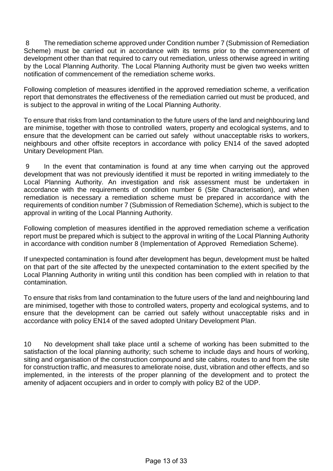8 The remediation scheme approved under Condition number 7 (Submission of Remediation Scheme) must be carried out in accordance with its terms prior to the commencement of development other than that required to carry out remediation, unless otherwise agreed in writing by the Local Planning Authority. The Local Planning Authority must be given two weeks written notification of commencement of the remediation scheme works.

Following completion of measures identified in the approved remediation scheme, a verification report that demonstrates the effectiveness of the remediation carried out must be produced, and is subject to the approval in writing of the Local Planning Authority.

To ensure that risks from land contamination to the future users of the land and neighbouring land are minimise, together with those to controlled waters, property and ecological systems, and to ensure that the development can be carried out safely without unacceptable risks to workers, neighbours and other offsite receptors in accordance with policy EN14 of the saved adopted Unitary Development Plan.

9 In the event that contamination is found at any time when carrying out the approved development that was not previously identified it must be reported in writing immediately to the Local Planning Authority. An investigation and risk assessment must be undertaken in accordance with the requirements of condition number 6 (Site Characterisation), and when remediation is necessary a remediation scheme must be prepared in accordance with the requirements of condition number 7 (Submission of Remediation Scheme), which is subject to the approval in writing of the Local Planning Authority.

Following completion of measures identified in the approved remediation scheme a verification report must be prepared which is subject to the approval in writing of the Local Planning Authority in accordance with condition number 8 (Implementation of Approved Remediation Scheme).

If unexpected contamination is found after development has begun, development must be halted on that part of the site affected by the unexpected contamination to the extent specified by the Local Planning Authority in writing until this condition has been complied with in relation to that contamination.

To ensure that risks from land contamination to the future users of the land and neighbouring land are minimised, together with those to controlled waters, property and ecological systems, and to ensure that the development can be carried out safely without unacceptable risks and in accordance with policy EN14 of the saved adopted Unitary Development Plan.

10 No development shall take place until a scheme of working has been submitted to the satisfaction of the local planning authority; such scheme to include days and hours of working, siting and organisation of the construction compound and site cabins, routes to and from the site for construction traffic, and measures to ameliorate noise, dust, vibration and other effects, and so implemented, in the interests of the proper planning of the development and to protect the amenity of adjacent occupiers and in order to comply with policy B2 of the UDP.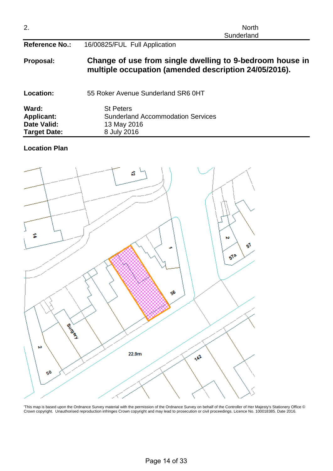| 2.                                                               | <b>North</b><br>Sunderland                                                                                        |
|------------------------------------------------------------------|-------------------------------------------------------------------------------------------------------------------|
| <b>Reference No.:</b>                                            | 16/00825/FUL Full Application                                                                                     |
| Proposal:                                                        | Change of use from single dwelling to 9-bedroom house in<br>multiple occupation (amended description 24/05/2016). |
| Location:                                                        | 55 Roker Avenue Sunderland SR6 0HT                                                                                |
| Ward:<br><b>Applicant:</b><br>Date Valid:<br><b>Target Date:</b> | <b>St Peters</b><br><b>Sunderland Accommodation Services</b><br>13 May 2016<br>8 July 2016                        |

## **Location Plan**



'This map is based upon the Ordnance Survey material with the permission of the Ordnance Survey on behalf of the Controller of Her Majesty's Stationery Office © Crown copyright. Unauthorised reproduction infringes Crown copyright and may lead to prosecution or civil proceedings. Licence No. 100018385. Date 2016.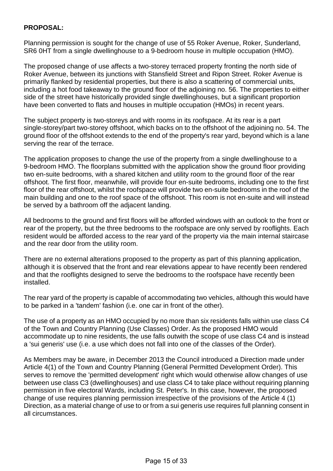# **PROPOSAL:**

Planning permission is sought for the change of use of 55 Roker Avenue, Roker, Sunderland, SR6 0HT from a single dwellinghouse to a 9-bedroom house in multiple occupation (HMO).

The proposed change of use affects a two-storey terraced property fronting the north side of Roker Avenue, between its junctions with Stansfield Street and Ripon Street. Roker Avenue is primarily flanked by residential properties, but there is also a scattering of commercial units, including a hot food takeaway to the ground floor of the adjoining no. 56. The properties to either side of the street have historically provided single dwellinghouses, but a significant proportion have been converted to flats and houses in multiple occupation (HMOs) in recent years.

The subject property is two-storeys and with rooms in its roofspace. At its rear is a part single-storey/part two-storey offshoot, which backs on to the offshoot of the adjoining no. 54. The ground floor of the offshoot extends to the end of the property's rear yard, beyond which is a lane serving the rear of the terrace.

The application proposes to change the use of the property from a single dwellinghouse to a 9-bedroom HMO. The floorplans submitted with the application show the ground floor providing two en-suite bedrooms, with a shared kitchen and utility room to the ground floor of the rear offshoot. The first floor, meanwhile, will provide four en-suite bedrooms, including one to the first floor of the rear offshoot, whilst the roofspace will provide two en-suite bedrooms in the roof of the main building and one to the roof space of the offshoot. This room is not en-suite and will instead be served by a bathroom off the adjacent landing.

All bedrooms to the ground and first floors will be afforded windows with an outlook to the front or rear of the property, but the three bedrooms to the roofspace are only served by rooflights. Each resident would be afforded access to the rear yard of the property via the main internal staircase and the rear door from the utility room.

There are no external alterations proposed to the property as part of this planning application, although it is observed that the front and rear elevations appear to have recently been rendered and that the rooflights designed to serve the bedrooms to the roofspace have recently been installed.

The rear yard of the property is capable of accommodating two vehicles, although this would have to be parked in a 'tandem' fashion (i.e. one car in front of the other).

The use of a property as an HMO occupied by no more than six residents falls within use class C4 of the Town and Country Planning (Use Classes) Order. As the proposed HMO would accommodate up to nine residents, the use falls outwith the scope of use class C4 and is instead a 'sui generis' use (i.e. a use which does not fall into one of the classes of the Order).

As Members may be aware, in December 2013 the Council introduced a Direction made under Article 4(1) of the Town and Country Planning (General Permitted Development Order). This serves to remove the 'permitted development' right which would otherwise allow changes of use between use class C3 (dwellinghouses) and use class C4 to take place without requiring planning permission in five electoral Wards, including St. Peter's. In this case, however, the proposed change of use requires planning permission irrespective of the provisions of the Article 4 (1) Direction, as a material change of use to or from a sui generis use requires full planning consent in all circumstances.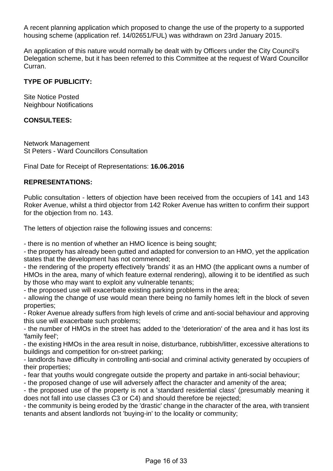A recent planning application which proposed to change the use of the property to a supported housing scheme (application ref. 14/02651/FUL) was withdrawn on 23rd January 2015.

An application of this nature would normally be dealt with by Officers under the City Council's Delegation scheme, but it has been referred to this Committee at the request of Ward Councillor Curran.

# **TYPE OF PUBLICITY:**

Site Notice Posted Neighbour Notifications

### **CONSULTEES:**

Network Management St Peters - Ward Councillors Consultation

Final Date for Receipt of Representations: **16.06.2016**

### **REPRESENTATIONS:**

Public consultation - letters of objection have been received from the occupiers of 141 and 143 Roker Avenue, whilst a third objector from 142 Roker Avenue has written to confirm their support for the objection from no. 143.

The letters of objection raise the following issues and concerns:

- there is no mention of whether an HMO licence is being sought;

- the property has already been gutted and adapted for conversion to an HMO, yet the application states that the development has not commenced;

- the rendering of the property effectively 'brands' it as an HMO (the applicant owns a number of HMOs in the area, many of which feature external rendering), allowing it to be identified as such by those who may want to exploit any vulnerable tenants;

- the proposed use will exacerbate existing parking problems in the area;

- allowing the change of use would mean there being no family homes left in the block of seven properties;

- Roker Avenue already suffers from high levels of crime and anti-social behaviour and approving this use will exacerbate such problems;

- the number of HMOs in the street has added to the 'deterioration' of the area and it has lost its 'family feel';

- the existing HMOs in the area result in noise, disturbance, rubbish/litter, excessive alterations to buildings and competition for on-street parking;

- landlords have difficulty in controlling anti-social and criminal activity generated by occupiers of their properties;

- fear that youths would congregate outside the property and partake in anti-social behaviour;

- the proposed change of use will adversely affect the character and amenity of the area;

- the proposed use of the property is not a 'standard residential class' (presumably meaning it does not fall into use classes C3 or C4) and should therefore be rejected;

- the community is being eroded by the 'drastic' change in the character of the area, with transient tenants and absent landlords not 'buying-in' to the locality or community;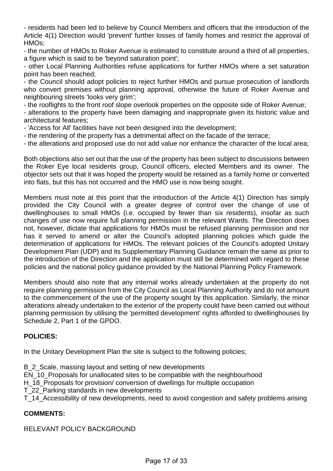- residents had been led to believe by Council Members and officers that the introduction of the Article 4(1) Direction would 'prevent' further losses of family homes and restrict the approval of HMOs;

- the number of HMOs to Roker Avenue is estimated to constitute around a third of all properties, a figure which is said to be 'beyond saturation point';

- other Local Planning Authorities refuse applications for further HMOs where a set saturation point has been reached;

- the Council should adopt policies to reject further HMOs and pursue prosecution of landlords who convert premises without planning approval, otherwise the future of Roker Avenue and neighbouring streets 'looks very grim';

- the rooflights to the front roof slope overlook properties on the opposite side of Roker Avenue;

- alterations to the property have been damaging and inappropriate given its historic value and architectural features;

- 'Access for All' facilities have not been designed into the development;
- the rendering of the property has a detrimental affect on the facade of the terrace;
- the alterations and proposed use do not add value nor enhance the character of the local area;

Both objections also set out that the use of the property has been subject to discussions between the Roker Eye local residents group, Council officers, elected Members and its owner. The objector sets out that it was hoped the property would be retained as a family home or converted into flats, but this has not occurred and the HMO use is now being sought.

Members must note at this point that the introduction of the Article 4(1) Direction has simply provided the City Council with a greater degree of control over the change of use of dwellinghouses to small HMOs (i.e. occupied by fewer than six residents), insofar as such changes of use now require full planning permission in the relevant Wards. The Direction does not, however, dictate that applications for HMOs must be refused planning permission and nor has it served to amend or alter the Council's adopted planning policies which guide the determination of applications for HMOs. The relevant policies of the Council's adopted Unitary Development Plan (UDP) and its Supplementary Planning Guidance remain the same as prior to the introduction of the Direction and the application must still be determined with regard to these policies and the national policy guidance provided by the National Planning Policy Framework.

Members should also note that any internal works already undertaken at the property do not require planning permission from the City Council as Local Planning Authority and do not amount to the commencement of the use of the property sought by this application. Similarly, the minor alterations already undertaken to the exterior of the property could have been carried out without planning permission by utilising the 'permitted development' rights afforded to dwellinghouses by Schedule 2, Part 1 of the GPDO.

# **POLICIES:**

In the Unitary Development Plan the site is subject to the following policies;

- B\_2\_Scale, massing layout and setting of new developments
- EN\_10\_Proposals for unallocated sites to be compatible with the neighbourhood
- H 18 Proposals for provision/ conversion of dwellings for multiple occupation
- T\_22\_Parking standards in new developments

T\_14\_Accessibility of new developments, need to avoid congestion and safety problems arising

## **COMMENTS:**

RELEVANT POLICY BACKGROUND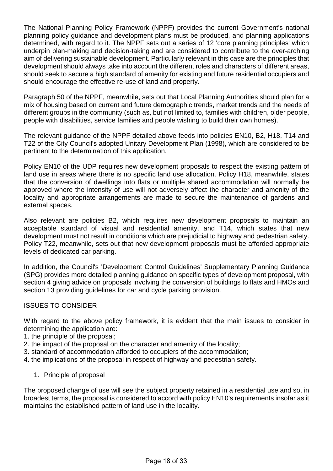The National Planning Policy Framework (NPPF) provides the current Government's national planning policy guidance and development plans must be produced, and planning applications determined, with regard to it. The NPPF sets out a series of 12 'core planning principles' which underpin plan-making and decision-taking and are considered to contribute to the over-arching aim of delivering sustainable development. Particularly relevant in this case are the principles that development should always take into account the different roles and characters of different areas, should seek to secure a high standard of amenity for existing and future residential occupiers and should encourage the effective re-use of land and property.

Paragraph 50 of the NPPF, meanwhile, sets out that Local Planning Authorities should plan for a mix of housing based on current and future demographic trends, market trends and the needs of different groups in the community (such as, but not limited to, families with children, older people, people with disabilities, service families and people wishing to build their own homes).

The relevant guidance of the NPPF detailed above feeds into policies EN10, B2, H18, T14 and T22 of the City Council's adopted Unitary Development Plan (1998), which are considered to be pertinent to the determination of this application.

Policy EN10 of the UDP requires new development proposals to respect the existing pattern of land use in areas where there is no specific land use allocation. Policy H18, meanwhile, states that the conversion of dwellings into flats or multiple shared accommodation will normally be approved where the intensity of use will not adversely affect the character and amenity of the locality and appropriate arrangements are made to secure the maintenance of gardens and external spaces.

Also relevant are policies B2, which requires new development proposals to maintain an acceptable standard of visual and residential amenity, and T14, which states that new development must not result in conditions which are prejudicial to highway and pedestrian safety. Policy T22, meanwhile, sets out that new development proposals must be afforded appropriate levels of dedicated car parking.

In addition, the Council's 'Development Control Guidelines' Supplementary Planning Guidance (SPG) provides more detailed planning guidance on specific types of development proposal, with section 4 giving advice on proposals involving the conversion of buildings to flats and HMOs and section 13 providing guidelines for car and cycle parking provision.

# ISSUES TO CONSIDER

With regard to the above policy framework, it is evident that the main issues to consider in determining the application are:

- 1. the principle of the proposal;
- 2. the impact of the proposal on the character and amenity of the locality;
- 3. standard of accommodation afforded to occupiers of the accommodation;
- 4. the implications of the proposal in respect of highway and pedestrian safety.
	- 1. Principle of proposal

The proposed change of use will see the subject property retained in a residential use and so, in broadest terms, the proposal is considered to accord with policy EN10's requirements insofar as it maintains the established pattern of land use in the locality.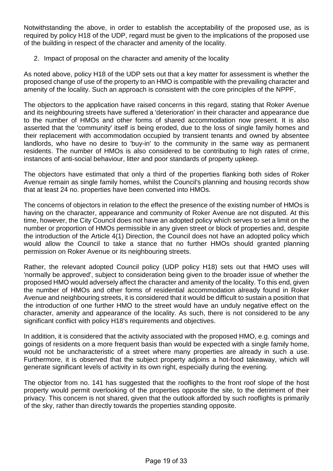Notwithstanding the above, in order to establish the acceptability of the proposed use, as is required by policy H18 of the UDP, regard must be given to the implications of the proposed use of the building in respect of the character and amenity of the locality.

2. Impact of proposal on the character and amenity of the locality

As noted above, policy H18 of the UDP sets out that a key matter for assessment is whether the proposed change of use of the property to an HMO is compatible with the prevailing character and amenity of the locality. Such an approach is consistent with the core principles of the NPPF,

The objectors to the application have raised concerns in this regard, stating that Roker Avenue and its neighbouring streets have suffered a 'deterioration' in their character and appearance due to the number of HMOs and other forms of shared accommodation now present. It is also asserted that the 'community' itself is being eroded, due to the loss of single family homes and their replacement with accommodation occupied by transient tenants and owned by absentee landlords, who have no desire to 'buy-in' to the community in the same way as permanent residents. The number of HMOs is also considered to be contributing to high rates of crime, instances of anti-social behaviour, litter and poor standards of property upkeep.

The objectors have estimated that only a third of the properties flanking both sides of Roker Avenue remain as single family homes, whilst the Council's planning and housing records show that at least 24 no. properties have been converted into HMOs.

The concerns of objectors in relation to the effect the presence of the existing number of HMOs is having on the character, appearance and community of Roker Avenue are not disputed. At this time, however, the City Council does not have an adopted policy which serves to set a limit on the number or proportion of HMOs permissible in any given street or block of properties and, despite the introduction of the Article 4(1) Direction, the Council does not have an adopted policy which would allow the Council to take a stance that no further HMOs should granted planning permission on Roker Avenue or its neighbouring streets.

Rather, the relevant adopted Council policy (UDP policy H18) sets out that HMO uses will 'normally be approved', subject to consideration being given to the broader issue of whether the proposed HMO would adversely affect the character and amenity of the locality. To this end, given the number of HMOs and other forms of residential accommodation already found in Roker Avenue and neighbouring streets, it is considered that it would be difficult to sustain a position that the introduction of one further HMO to the street would have an unduly negative effect on the character, amenity and appearance of the locality. As such, there is not considered to be any significant conflict with policy H18's requirements and objectives.

In addition, it is considered that the activity associated with the proposed HMO, e.g. comings and goings of residents on a more frequent basis than would be expected with a single family home, would not be uncharacteristic of a street where many properties are already in such a use. Furthermore, it is observed that the subject property adjoins a hot-food takeaway, which will generate significant levels of activity in its own right, especially during the evening.

The objector from no. 141 has suggested that the rooflights to the front roof slope of the host property would permit overlooking of the properties opposite the site, to the detriment of their privacy. This concern is not shared, given that the outlook afforded by such rooflights is primarily of the sky, rather than directly towards the properties standing opposite.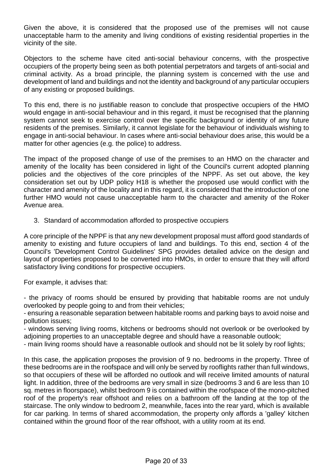Given the above, it is considered that the proposed use of the premises will not cause unacceptable harm to the amenity and living conditions of existing residential properties in the vicinity of the site.

Objectors to the scheme have cited anti-social behaviour concerns, with the prospective occupiers of the property being seen as both potential perpetrators and targets of anti-social and criminal activity. As a broad principle, the planning system is concerned with the use and development of land and buildings and not the identity and background of any particular occupiers of any existing or proposed buildings.

To this end, there is no justifiable reason to conclude that prospective occupiers of the HMO would engage in anti-social behaviour and in this regard, it must be recognised that the planning system cannot seek to exercise control over the specific background or identity of any future residents of the premises. Similarly, it cannot legislate for the behaviour of individuals wishing to engage in anti-social behaviour. In cases where anti-social behaviour does arise, this would be a matter for other agencies (e.g. the police) to address.

The impact of the proposed change of use of the premises to an HMO on the character and amenity of the locality has been considered in light of the Council's current adopted planning policies and the objectives of the core principles of the NPPF. As set out above, the key consideration set out by UDP policy H18 is whether the proposed use would conflict with the character and amenity of the locality and in this regard, it is considered that the introduction of one further HMO would not cause unacceptable harm to the character and amenity of the Roker Avenue area.

3. Standard of accommodation afforded to prospective occupiers

A core principle of the NPPF is that any new development proposal must afford good standards of amenity to existing and future occupiers of land and buildings. To this end, section 4 of the Council's 'Development Control Guidelines' SPG provides detailed advice on the design and layout of properties proposed to be converted into HMOs, in order to ensure that they will afford satisfactory living conditions for prospective occupiers.

For example, it advises that:

- the privacy of rooms should be ensured by providing that habitable rooms are not unduly overlooked by people going to and from their vehicles;

- ensuring a reasonable separation between habitable rooms and parking bays to avoid noise and pollution issues;

- windows serving living rooms, kitchens or bedrooms should not overlook or be overlooked by adjoining properties to an unacceptable degree and should have a reasonable outlook;

- main living rooms should have a reasonable outlook and should not be lit solely by roof lights;

In this case, the application proposes the provision of 9 no. bedrooms in the property. Three of these bedrooms are in the roofspace and will only be served by rooflights rather than full windows, so that occupiers of these will be afforded no outlook and will receive limited amounts of natural light. In addition, three of the bedrooms are very small in size (bedrooms 3 and 6 are less than 10 sq. metres in floorspace), whilst bedroom 9 is contained within the roofspace of the mono-pitched roof of the property's rear offshoot and relies on a bathroom off the landing at the top of the staircase. The only window to bedroom 2, meanwhile, faces into the rear yard, which is available for car parking. In terms of shared accommodation, the property only affords a 'galley' kitchen contained within the ground floor of the rear offshoot, with a utility room at its end.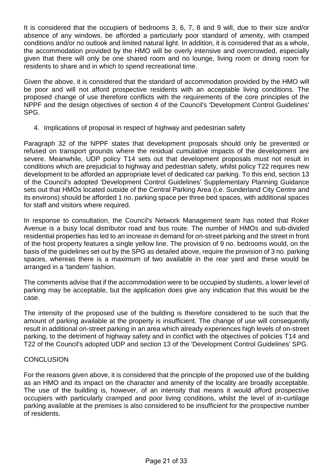It is considered that the occupiers of bedrooms 3, 6, 7, 8 and 9 will, due to their size and/or absence of any windows, be afforded a particularly poor standard of amenity, with cramped conditions and/or no outlook and limited natural light. In addition, it is considered that as a whole, the accommodation provided by the HMO will be overly intensive and overcrowded, especially given that there will only be one shared room and no lounge, living room or dining room for residents to share and in which to spend recreational time.

Given the above, it is considered that the standard of accommodation provided by the HMO will be poor and will not afford prospective residents with an acceptable living conditions. The proposed change of use therefore conflicts with the requirements of the core principles of the NPPF and the design objectives of section 4 of the Council's 'Development Control Guidelines' SPG.

4. Implications of proposal in respect of highway and pedestrian safety

Paragraph 32 of the NPPF states that development proposals should only be prevented or refused on transport grounds where the residual cumulative impacts of the development are severe. Meanwhile, UDP policy T14 sets out that development proposals must not result in conditions which are prejudicial to highway and pedestrian safety, whilst policy T22 requires new development to be afforded an appropriate level of dedicated car parking. To this end, section 13 of the Council's adopted 'Development Control Guidelines' Supplementary Planning Guidance sets out that HMOs located outside of the Central Parking Area (i.e. Sunderland City Centre and its environs) should be afforded 1 no. parking space per three bed spaces, with additional spaces for staff and visitors where required.

In response to consultation, the Council's Network Management team has noted that Roker Avenue is a busy local distributor road and bus route. The number of HMOs and sub-divided residential properties has led to an increase in demand for on-street parking and the street in front of the host property features a single yellow line. The provision of 9 no. bedrooms would, on the basis of the guidelines set out by the SPG as detailed above, require the provision of 3 no. parking spaces, whereas there is a maximum of two available in the rear yard and these would be arranged in a 'tandem' fashion.

The comments advise that if the accommodation were to be occupied by students, a lower level of parking may be acceptable, but the application does give any indication that this would be the case.

The intensity of the proposed use of the building is therefore considered to be such that the amount of parking available at the property is insufficient. The change of use will consequently result in additional on-street parking in an area which already experiences high levels of on-street parking, to the detriment of highway safety and in conflict with the objectives of policies T14 and T22 of the Council's adopted UDP and section 13 of the 'Development Control Guidelines' SPG.

## CONCLUSION

For the reasons given above, it is considered that the principle of the proposed use of the building as an HMO and its impact on the character and amenity of the locality are broadly acceptable. The use of the building is, however, of an intensity that means it would afford prospective occupiers with particularly cramped and poor living conditions, whilst the level of in-curtilage parking available at the premises is also considered to be insufficient for the prospective number of residents.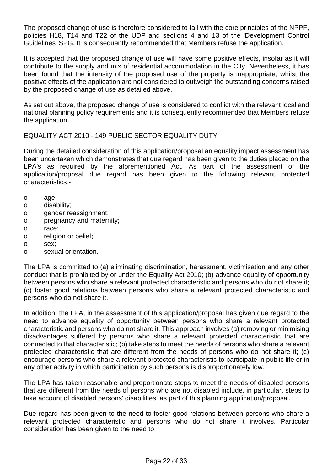The proposed change of use is therefore considered to fail with the core principles of the NPPF, policies H18, T14 and T22 of the UDP and sections 4 and 13 of the 'Development Control Guidelines' SPG. It is consequently recommended that Members refuse the application.

It is accepted that the proposed change of use will have some positive effects, insofar as it will contribute to the supply and mix of residential accommodation in the City. Nevertheless, it has been found that the intensity of the proposed use of the property is inappropriate, whilst the positive effects of the application are not considered to outweigh the outstanding concerns raised by the proposed change of use as detailed above.

As set out above, the proposed change of use is considered to conflict with the relevant local and national planning policy requirements and it is consequently recommended that Members refuse the application.

EQUALITY ACT 2010 - 149 PUBLIC SECTOR EQUALITY DUTY

During the detailed consideration of this application/proposal an equality impact assessment has been undertaken which demonstrates that due regard has been given to the duties placed on the LPA's as required by the aforementioned Act. As part of the assessment of the application/proposal due regard has been given to the following relevant protected characteristics:-

- o age;
- o disability;
- o gender reassignment;
- o pregnancy and maternity;
- o race;
- o religion or belief;
- o sex;
- o sexual orientation.

The LPA is committed to (a) eliminating discrimination, harassment, victimisation and any other conduct that is prohibited by or under the Equality Act 2010; (b) advance equality of opportunity between persons who share a relevant protected characteristic and persons who do not share it; (c) foster good relations between persons who share a relevant protected characteristic and persons who do not share it.

In addition, the LPA, in the assessment of this application/proposal has given due regard to the need to advance equality of opportunity between persons who share a relevant protected characteristic and persons who do not share it. This approach involves (a) removing or minimising disadvantages suffered by persons who share a relevant protected characteristic that are connected to that characteristic; (b) take steps to meet the needs of persons who share a relevant protected characteristic that are different from the needs of persons who do not share it; (c) encourage persons who share a relevant protected characteristic to participate in public life or in any other activity in which participation by such persons is disproportionately low.

The LPA has taken reasonable and proportionate steps to meet the needs of disabled persons that are different from the needs of persons who are not disabled include, in particular, steps to take account of disabled persons' disabilities, as part of this planning application/proposal.

Due regard has been given to the need to foster good relations between persons who share a relevant protected characteristic and persons who do not share it involves. Particular consideration has been given to the need to: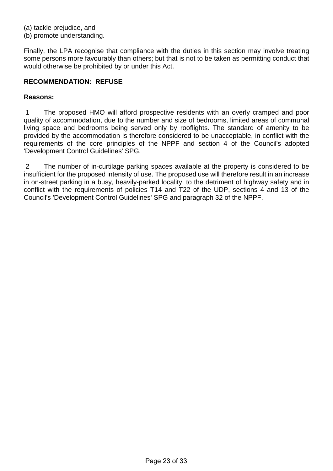(a) tackle prejudice, and

(b) promote understanding.

Finally, the LPA recognise that compliance with the duties in this section may involve treating some persons more favourably than others; but that is not to be taken as permitting conduct that would otherwise be prohibited by or under this Act.

# **RECOMMENDATION: REFUSE**

### **Reasons:**

1 The proposed HMO will afford prospective residents with an overly cramped and poor quality of accommodation, due to the number and size of bedrooms, limited areas of communal living space and bedrooms being served only by rooflights. The standard of amenity to be provided by the accommodation is therefore considered to be unacceptable, in conflict with the requirements of the core principles of the NPPF and section 4 of the Council's adopted 'Development Control Guidelines' SPG.

2 The number of in-curtilage parking spaces available at the property is considered to be insufficient for the proposed intensity of use. The proposed use will therefore result in an increase in on-street parking in a busy, heavily-parked locality, to the detriment of highway safety and in conflict with the requirements of policies T14 and T22 of the UDP, sections 4 and 13 of the Council's 'Development Control Guidelines' SPG and paragraph 32 of the NPPF.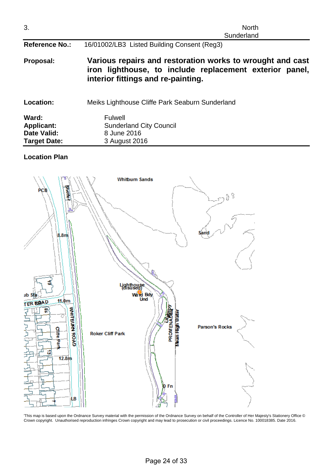| 3.                                               | <b>North</b><br>Sunderland                                                                                                                                 |  |  |
|--------------------------------------------------|------------------------------------------------------------------------------------------------------------------------------------------------------------|--|--|
| <b>Reference No.:</b>                            | 16/01002/LB3 Listed Building Consent (Reg3)                                                                                                                |  |  |
| Proposal:                                        | Various repairs and restoration works to wrought and cast<br>iron lighthouse, to include replacement exterior panel,<br>interior fittings and re-painting. |  |  |
| Location:                                        | Meiks Lighthouse Cliffe Park Seaburn Sunderland                                                                                                            |  |  |
| Ward:<br><b>Applicant:</b><br><b>Date Valid:</b> | <b>Fulwell</b><br><b>Sunderland City Council</b><br>8 June 2016                                                                                            |  |  |

# **Location Plan**

**Target Date:** 3 August 2016



'This map is based upon the Ordnance Survey material with the permission of the Ordnance Survey on behalf of the Controller of Her Majesty's Stationery Office © Crown copyright. Unauthorised reproduction infringes Crown copyright and may lead to prosecution or civil proceedings. Licence No. 100018385. Date 2016.

Page 24 of 33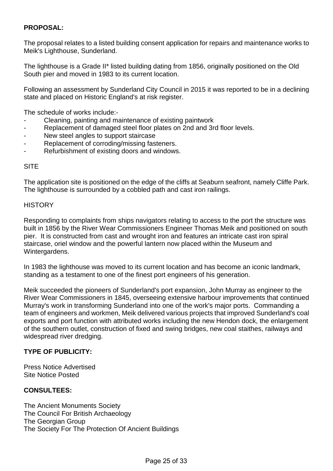# **PROPOSAL:**

The proposal relates to a listed building consent application for repairs and maintenance works to Meik's Lighthouse, Sunderland.

The lighthouse is a Grade II\* listed building dating from 1856, originally positioned on the Old South pier and moved in 1983 to its current location.

Following an assessment by Sunderland City Council in 2015 it was reported to be in a declining state and placed on Historic England's at risk register.

The schedule of works include:-

- Cleaning, painting and maintenance of existing paintwork
- Replacement of damaged steel floor plates on 2nd and 3rd floor levels.
- New steel angles to support staircase
- Replacement of corroding/missing fasteners.
- Refurbishment of existing doors and windows.

## **SITE**

The application site is positioned on the edge of the cliffs at Seaburn seafront, namely Cliffe Park. The lighthouse is surrounded by a cobbled path and cast iron railings.

### **HISTORY**

Responding to complaints from ships navigators relating to access to the port the structure was built in 1856 by the River Wear Commissioners Engineer Thomas Meik and positioned on south pier. It is constructed from cast and wrought iron and features an intricate cast iron spiral staircase, oriel window and the powerful lantern now placed within the Museum and Wintergardens.

In 1983 the lighthouse was moved to its current location and has become an iconic landmark, standing as a testament to one of the finest port engineers of his generation.

Meik succeeded the pioneers of Sunderland's port expansion, John Murray as engineer to the River Wear Commissioners in 1845, overseeing extensive harbour improvements that continued Murray's work in transforming Sunderland into one of the work's major ports. Commanding a team of engineers and workmen, Meik delivered various projects that improved Sunderland's coal exports and port function with attributed works including the new Hendon dock, the enlargement of the southern outlet, construction of fixed and swing bridges, new coal staithes, railways and widespread river dredging.

## **TYPE OF PUBLICITY:**

Press Notice Advertised Site Notice Posted

#### **CONSULTEES:**

The Ancient Monuments Society The Council For British Archaeology The Georgian Group The Society For The Protection Of Ancient Buildings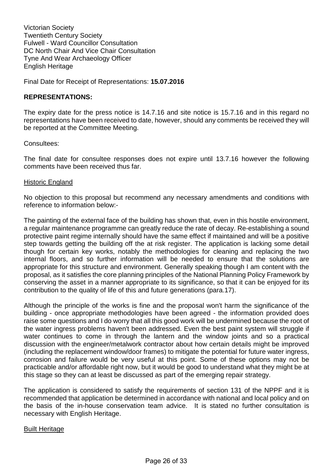Victorian Society Twentieth Century Society Fulwell - Ward Councillor Consultation DC North Chair And Vice Chair Consultation Tyne And Wear Archaeology Officer English Heritage

Final Date for Receipt of Representations: **15.07.2016**

### **REPRESENTATIONS:**

The expiry date for the press notice is 14.7.16 and site notice is 15.7.16 and in this regard no representations have been received to date, however, should any comments be received they will be reported at the Committee Meeting.

Consultees:

The final date for consultee responses does not expire until 13.7.16 however the following comments have been received thus far.

#### Historic England

No objection to this proposal but recommend any necessary amendments and conditions with reference to information below:-

The painting of the external face of the building has shown that, even in this hostile environment, a regular maintenance programme can greatly reduce the rate of decay. Re-establishing a sound protective paint regime internally should have the same effect if maintained and will be a positive step towards getting the building off the at risk register. The application is lacking some detail though for certain key works, notably the methodologies for cleaning and replacing the two internal floors, and so further information will be needed to ensure that the solutions are appropriate for this structure and environment. Generally speaking though I am content with the proposal, as it satisfies the core planning principles of the National Planning Policy Framework by conserving the asset in a manner appropriate to its significance, so that it can be enjoyed for its contribution to the quality of life of this and future generations (para.17).

Although the principle of the works is fine and the proposal won't harm the significance of the building - once appropriate methodologies have been agreed - the information provided does raise some questions and I do worry that all this good work will be undermined because the root of the water ingress problems haven't been addressed. Even the best paint system will struggle if water continues to come in through the lantern and the window joints and so a practical discussion with the engineer/metalwork contractor about how certain details might be improved (including the replacement window/door frames) to mitigate the potential for future water ingress, corrosion and failure would be very useful at this point. Some of these options may not be practicable and/or affordable right now, but it would be good to understand what they might be at this stage so they can at least be discussed as part of the emerging repair strategy.

The application is considered to satisfy the requirements of section 131 of the NPPF and it is recommended that application be determined in accordance with national and local policy and on the basis of the in-house conservation team advice. It is stated no further consultation is necessary with English Heritage.

#### Built Heritage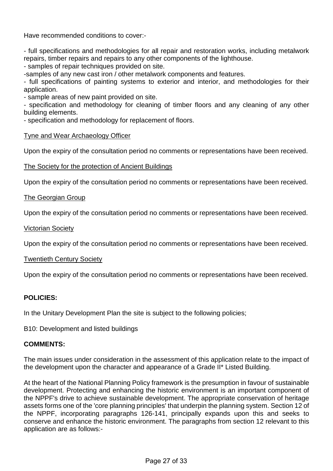Have recommended conditions to cover:-

- full specifications and methodologies for all repair and restoration works, including metalwork repairs, timber repairs and repairs to any other components of the lighthouse.

- samples of repair techniques provided on site.

-samples of any new cast iron / other metalwork components and features.

- full specifications of painting systems to exterior and interior, and methodologies for their application.

- sample areas of new paint provided on site.

- specification and methodology for cleaning of timber floors and any cleaning of any other building elements.

- specification and methodology for replacement of floors.

### Tyne and Wear Archaeology Officer

Upon the expiry of the consultation period no comments or representations have been received.

### The Society for the protection of Ancient Buildings

Upon the expiry of the consultation period no comments or representations have been received.

#### The Georgian Group

Upon the expiry of the consultation period no comments or representations have been received.

#### Victorian Society

Upon the expiry of the consultation period no comments or representations have been received.

#### **Twentieth Century Society**

Upon the expiry of the consultation period no comments or representations have been received.

## **POLICIES:**

In the Unitary Development Plan the site is subject to the following policies;

B10: Development and listed buildings

#### **COMMENTS:**

The main issues under consideration in the assessment of this application relate to the impact of the development upon the character and appearance of a Grade II\* Listed Building.

At the heart of the National Planning Policy framework is the presumption in favour of sustainable development. Protecting and enhancing the historic environment is an important component of the NPPF's drive to achieve sustainable development. The appropriate conservation of heritage assets forms one of the 'core planning principles' that underpin the planning system. Section 12 of the NPPF, incorporating paragraphs 126-141, principally expands upon this and seeks to conserve and enhance the historic environment. The paragraphs from section 12 relevant to this application are as follows:-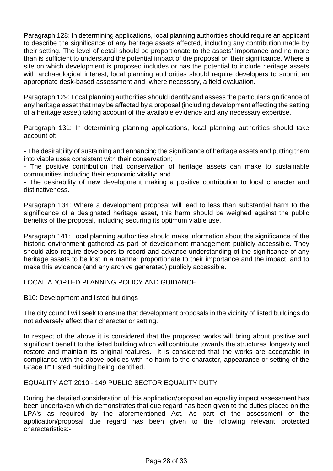Paragraph 128: In determining applications, local planning authorities should require an applicant to describe the significance of any heritage assets affected, including any contribution made by their setting. The level of detail should be proportionate to the assets' importance and no more than is sufficient to understand the potential impact of the proposal on their significance. Where a site on which development is proposed includes or has the potential to include heritage assets with archaeological interest, local planning authorities should require developers to submit an appropriate desk-based assessment and, where necessary, a field evaluation.

Paragraph 129: Local planning authorities should identify and assess the particular significance of any heritage asset that may be affected by a proposal (including development affecting the setting of a heritage asset) taking account of the available evidence and any necessary expertise.

Paragraph 131: In determining planning applications, local planning authorities should take account of:

- The desirability of sustaining and enhancing the significance of heritage assets and putting them into viable uses consistent with their conservation;

- The positive contribution that conservation of heritage assets can make to sustainable communities including their economic vitality; and

- The desirability of new development making a positive contribution to local character and distinctiveness.

Paragraph 134: Where a development proposal will lead to less than substantial harm to the significance of a designated heritage asset, this harm should be weighed against the public benefits of the proposal, including securing its optimum viable use.

Paragraph 141: Local planning authorities should make information about the significance of the historic environment gathered as part of development management publicly accessible. They should also require developers to record and advance understanding of the significance of any heritage assets to be lost in a manner proportionate to their importance and the impact, and to make this evidence (and any archive generated) publicly accessible.

## LOCAL ADOPTED PLANNING POLICY AND GUIDANCE

## B10: Development and listed buildings

The city council will seek to ensure that development proposals in the vicinity of listed buildings do not adversely affect their character or setting.

In respect of the above it is considered that the proposed works will bring about positive and significant benefit to the listed building which will contribute towards the structures' longevity and restore and maintain its original features. It is considered that the works are acceptable in compliance with the above policies with no harm to the character, appearance or setting of the Grade II\* Listed Building being identified.

## EQUALITY ACT 2010 - 149 PUBLIC SECTOR EQUALITY DUTY

During the detailed consideration of this application/proposal an equality impact assessment has been undertaken which demonstrates that due regard has been given to the duties placed on the LPA's as required by the aforementioned Act. As part of the assessment of the application/proposal due regard has been given to the following relevant protected characteristics:-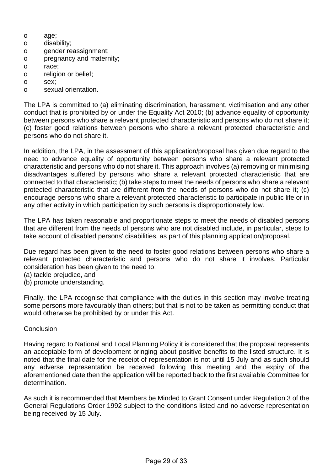- o age;
- o disability;
- o gender reassignment;
- o pregnancy and maternity;
- o race;
- o religion or belief;
- o sex;
- o sexual orientation.

The LPA is committed to (a) eliminating discrimination, harassment, victimisation and any other conduct that is prohibited by or under the Equality Act 2010; (b) advance equality of opportunity between persons who share a relevant protected characteristic and persons who do not share it; (c) foster good relations between persons who share a relevant protected characteristic and persons who do not share it.

In addition, the LPA, in the assessment of this application/proposal has given due regard to the need to advance equality of opportunity between persons who share a relevant protected characteristic and persons who do not share it. This approach involves (a) removing or minimising disadvantages suffered by persons who share a relevant protected characteristic that are connected to that characteristic; (b) take steps to meet the needs of persons who share a relevant protected characteristic that are different from the needs of persons who do not share it; (c) encourage persons who share a relevant protected characteristic to participate in public life or in any other activity in which participation by such persons is disproportionately low.

The LPA has taken reasonable and proportionate steps to meet the needs of disabled persons that are different from the needs of persons who are not disabled include, in particular, steps to take account of disabled persons' disabilities, as part of this planning application/proposal.

Due regard has been given to the need to foster good relations between persons who share a relevant protected characteristic and persons who do not share it involves. Particular consideration has been given to the need to:

- (a) tackle prejudice, and
- (b) promote understanding.

Finally, the LPA recognise that compliance with the duties in this section may involve treating some persons more favourably than others; but that is not to be taken as permitting conduct that would otherwise be prohibited by or under this Act.

## Conclusion

Having regard to National and Local Planning Policy it is considered that the proposal represents an acceptable form of development bringing about positive benefits to the listed structure. It is noted that the final date for the receipt of representation is not until 15 July and as such should any adverse representation be received following this meeting and the expiry of the aforementioned date then the application will be reported back to the first available Committee for determination.

As such it is recommended that Members be Minded to Grant Consent under Regulation 3 of the General Regulations Order 1992 subject to the conditions listed and no adverse representation being received by 15 July.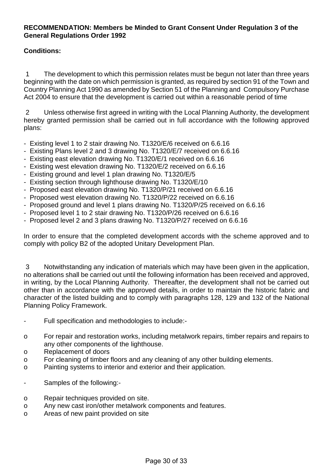# **RECOMMENDATION: Members be Minded to Grant Consent Under Regulation 3 of the General Regulations Order 1992**

# **Conditions:**

1 The development to which this permission relates must be begun not later than three years beginning with the date on which permission is granted, as required by section 91 of the Town and Country Planning Act 1990 as amended by Section 51 of the Planning and Compulsory Purchase Act 2004 to ensure that the development is carried out within a reasonable period of time

2 Unless otherwise first agreed in writing with the Local Planning Authority, the development hereby granted permission shall be carried out in full accordance with the following approved plans:

- Existing level 1 to 2 stair drawing No. T1320/E/6 received on 6.6.16
- Existing Plans level 2 and 3 drawing No. T1320/E/7 received on 6.6.16
- Existing east elevation drawing No. T1320/E/1 received on 6.6.16
- Existing west elevation drawing No. T1320/E/2 received on 6.6.16
- Existing ground and level 1 plan drawing No. T1320/E/5
- Existing section through lighthouse drawing No. T1320/E/10
- Proposed east elevation drawing No. T1320/P/21 received on 6.6.16
- Proposed west elevation drawing No. T1320/P/22 received on 6.6.16
- Proposed ground and level 1 plans drawing No. T1320/P/25 received on 6.6.16
- Proposed level 1 to 2 stair drawing No. T1320/P/26 received on 6.6.16
- Proposed level 2 and 3 plans drawing No. T1320/P/27 received on 6.6.16

In order to ensure that the completed development accords with the scheme approved and to comply with policy B2 of the adopted Unitary Development Plan.

3 Notwithstanding any indication of materials which may have been given in the application, no alterations shall be carried out until the following information has been received and approved, in writing, by the Local Planning Authority. Thereafter, the development shall not be carried out other than in accordance with the approved details, in order to maintain the historic fabric and character of the listed building and to comply with paragraphs 128, 129 and 132 of the National Planning Policy Framework.

- Full specification and methodologies to include:-
- o For repair and restoration works, including metalwork repairs, timber repairs and repairs to any other components of the lighthouse.
- o Replacement of doors
- o For cleaning of timber floors and any cleaning of any other building elements.
- o Painting systems to interior and exterior and their application.
- Samples of the following:-
- o Repair techniques provided on site.
- o Any new cast iron/other metalwork components and features.
- o Areas of new paint provided on site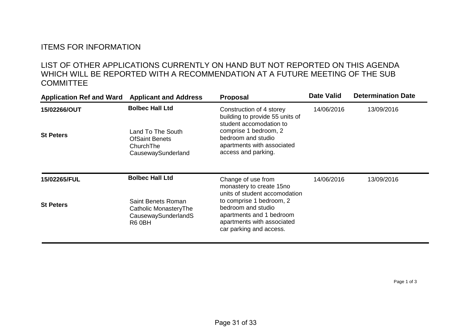# ITEMS FOR INFORMATION

# LIST OF OTHER APPLICATIONS CURRENTLY ON HAND BUT NOT REPORTED ON THIS AGENDA WHICH WILL BE REPORTED WITH A RECOMMENDATION AT A FUTURE MEETING OF THE SUB **COMMITTEE**

| Application Ref and Ward Applicant and Address |                                                                               | <b>Proposal</b>                                                                                                                     | <b>Date Valid</b> | <b>Determination Date</b> |
|------------------------------------------------|-------------------------------------------------------------------------------|-------------------------------------------------------------------------------------------------------------------------------------|-------------------|---------------------------|
| 15/02266/OUT                                   | <b>Bolbec Hall Ltd</b>                                                        | Construction of 4 storey<br>building to provide 55 units of<br>student accomodation to                                              | 14/06/2016        | 13/09/2016                |
| <b>St Peters</b>                               | Land To The South<br><b>OfSaint Benets</b><br>ChurchThe<br>CausewaySunderland | comprise 1 bedroom, 2<br>bedroom and studio<br>apartments with associated<br>access and parking.                                    |                   |                           |
| <b>15/02265/FUL</b>                            | <b>Bolbec Hall Ltd</b>                                                        | Change of use from<br>monastery to create 15no<br>units of student accomodation                                                     | 14/06/2016        | 13/09/2016                |
| <b>St Peters</b>                               | Saint Benets Roman<br>Catholic MonasteryThe<br>CausewaySunderlandS<br>R6 0BH  | to comprise 1 bedroom, 2<br>bedroom and studio<br>apartments and 1 bedroom<br>apartments with associated<br>car parking and access. |                   |                           |

Page 1 of 3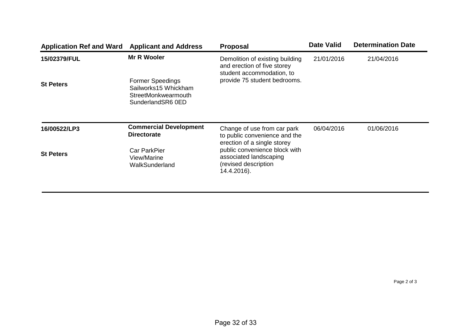| Application Ref and Ward Applicant and Address |                                                                                             | <b>Proposal</b>                                                                                | <b>Date Valid</b> | <b>Determination Date</b> |
|------------------------------------------------|---------------------------------------------------------------------------------------------|------------------------------------------------------------------------------------------------|-------------------|---------------------------|
| 15/02379/FUL                                   | <b>Mr R Wooler</b>                                                                          | Demolition of existing building<br>and erection of five storey<br>student accommodation, to    | 21/01/2016        | 21/04/2016                |
| <b>St Peters</b>                               | <b>Former Speedings</b><br>Sailworks15 Whickham<br>StreetMonkwearmouth<br>SunderlandSR6 0ED | provide 75 student bedrooms.                                                                   |                   |                           |
| 16/00522/LP3                                   | <b>Commercial Development</b><br><b>Directorate</b>                                         | Change of use from car park<br>to public convenience and the<br>erection of a single storey    | 06/04/2016        | 01/06/2016                |
| <b>St Peters</b>                               | <b>Car ParkPier</b><br>View/Marine<br>WalkSunderland                                        | public convenience block with<br>associated landscaping<br>(revised description<br>14.4.2016). |                   |                           |